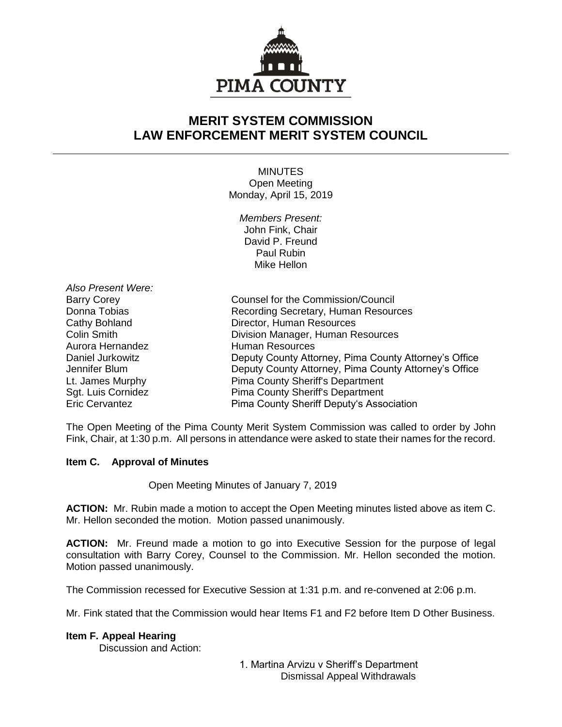

# **MERIT SYSTEM COMMISSION LAW ENFORCEMENT MERIT SYSTEM COUNCIL**

MINUTES Open Meeting Monday, April 15, 2019

> *Members Present:* John Fink, Chair David P. Freund Paul Rubin Mike Hellon

| Counsel for the Commission/Council                    |
|-------------------------------------------------------|
| Recording Secretary, Human Resources                  |
| Director, Human Resources                             |
| Division Manager, Human Resources                     |
| <b>Human Resources</b>                                |
| Deputy County Attorney, Pima County Attorney's Office |
| Deputy County Attorney, Pima County Attorney's Office |
| <b>Pima County Sheriff's Department</b>               |
| <b>Pima County Sheriff's Department</b>               |
| Pima County Sheriff Deputy's Association              |
|                                                       |

The Open Meeting of the Pima County Merit System Commission was called to order by John Fink, Chair, at 1:30 p.m. All persons in attendance were asked to state their names for the record.

# **Item C. Approval of Minutes**

Open Meeting Minutes of January 7, 2019

**ACTION:** Mr. Rubin made a motion to accept the Open Meeting minutes listed above as item C. Mr. Hellon seconded the motion. Motion passed unanimously.

**ACTION:** Mr. Freund made a motion to go into Executive Session for the purpose of legal consultation with Barry Corey, Counsel to the Commission. Mr. Hellon seconded the motion. Motion passed unanimously.

The Commission recessed for Executive Session at 1:31 p.m. and re-convened at 2:06 p.m.

Mr. Fink stated that the Commission would hear Items F1 and F2 before Item D Other Business.

# **Item F. Appeal Hearing**

Discussion and Action:

1. Martina Arvizu v Sheriff's Department Dismissal Appeal Withdrawals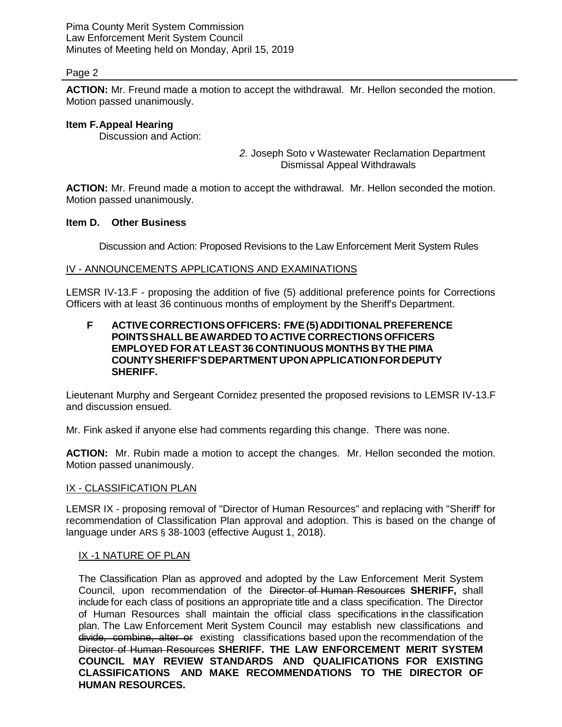Pima County Merit System Commission Law Enforcement Merit System Council Minutes of Meeting held on Monday, April 15, 2019

# Page 2

**ACTION:** Mr. Freund made a motion to accept the withdrawal. Mr. Hellon seconded the motion. Motion passed unanimously.

# **Item F.Appeal Hearing**

Discussion and Action:

*2.* Joseph Soto v Wastewater Reclamation Department Dismissal Appeal Withdrawals

**ACTION:** Mr. Freund made a motion to accept the withdrawal. Mr. Hellon seconded the motion. Motion passed unanimously.

# **Item D. Other Business**

Discussion and Action: Proposed Revisions to the Law Enforcement Merit System Rules

# IV - ANNOUNCEMENTS APPLICATIONS AND EXAMINATIONS

LEMSR IV-13.F - proposing the addition of five (5) additional preference points for Corrections Officers with at least 36 continuous months of employment by the Sheriff's Department.

# **F ACTIVECORRECTIONSOFFICERS: FIVE(5)ADDITIONALPREFERENCE POINTSSHALLBEAWARDED TOACTIVE CORRECTIONSOFFICERS EMPLOYED FORAT LEAST36 CONTINUOUS MONTHS BYTHE PIMA COUNTYSHERIFF'SDEPARTMENT UPONAPPLICATIONFORDEPUTY SHERIFF.**

Lieutenant Murphy and Sergeant Cornidez presented the proposed revisions to LEMSR IV-13.F and discussion ensued.

Mr. Fink asked if anyone else had comments regarding this change. There was none.

**ACTION:** Mr. Rubin made a motion to accept the changes. Mr. Hellon seconded the motion. Motion passed unanimously.

# IX - CLASSIFICATION PLAN

LEMSR IX - proposing removal of "Director of Human Resources" and replacing with "Sheriff' for recommendation of Classification Plan approval and adoption. This is based on the change of language under ARS § 38-1003 (effective August 1, 2018).

# IX -1 NATURE OF PLAN

The Classification Plan as approved and adopted by the Law Enforcement Merit System Council, upon recommendation of the Director of Human Resources **SHERIFF,** shall include for each class of positions an appropriate title and a class specification. The Director of Human Resources shall maintain the official class specifications in the classification plan. The Law Enforcement Merit System Council may establish new classifications and divide, combine, alter or existing classifications based upon the recommendation of the Director of Human Resources **SHERIFF. THE LAW ENFORCEMENT MERIT SYSTEM COUNCIL MAY REVIEW STANDARDS AND QUALIFICATIONS FOR EXISTING CLASSIFICATIONS AND MAKE RECOMMENDATIONS TO THE DIRECTOR OF HUMAN RESOURCES.**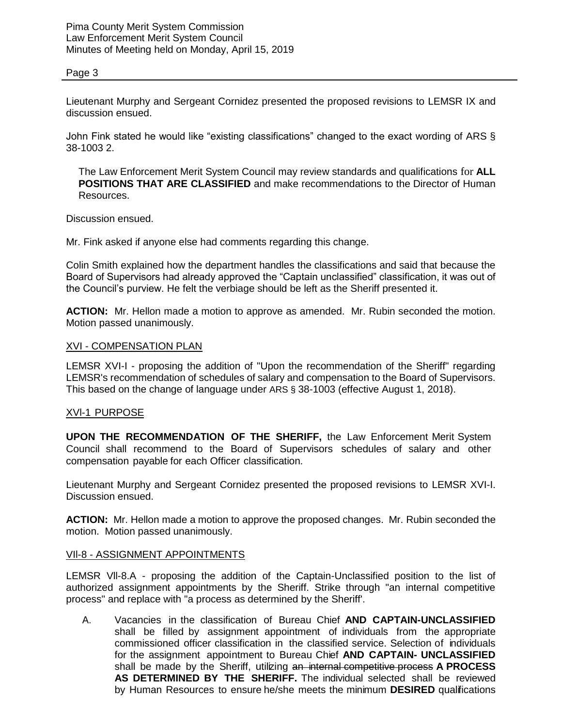#### Page 3

Lieutenant Murphy and Sergeant Cornidez presented the proposed revisions to LEMSR IX and discussion ensued.

John Fink stated he would like "existing classifications" changed to the exact wording of ARS § 38-1003 2.

The Law Enforcement Merit System Council may review standards and qualifications for **ALL POSITIONS THAT ARE CLASSIFIED** and make recommendations to the Director of Human Resources.

Discussion ensued.

Mr. Fink asked if anyone else had comments regarding this change.

Colin Smith explained how the department handles the classifications and said that because the Board of Supervisors had already approved the "Captain unclassified" classification, it was out of the Council's purview. He felt the verbiage should be left as the Sheriff presented it.

**ACTION:** Mr. Hellon made a motion to approve as amended. Mr. Rubin seconded the motion. Motion passed unanimously.

#### XVI - COMPENSATION PLAN

LEMSR XVI-I - proposing the addition of "Upon the recommendation of the Sheriff" regarding LEMSR's recommendation of schedules of salary and compensation to the Board of Supervisors. This based on the change of language under ARS § 38-1003 (effective August 1, 2018).

# XVl-1 PURPOSE

**UPON THE RECOMMENDATION OF THE SHERIFF,** the Law Enforcement Merit System Council shall recommend to the Board of Supervisors schedules of salary and other compensation payable for each Officer classification.

Lieutenant Murphy and Sergeant Cornidez presented the proposed revisions to LEMSR XVI-I. Discussion ensued.

**ACTION:** Mr. Hellon made a motion to approve the proposed changes. Mr. Rubin seconded the motion. Motion passed unanimously.

# VIl-8 - ASSIGNMENT APPOINTMENTS

LEMSR Vll-8.A - proposing the addition of the Captain-Unclassified position to the list of authorized assignment appointments by the Sheriff. Strike through "an internal competitive process" and replace with "a process as determined by the Sheriff'.

A. Vacancies in the classification of Bureau Chief **AND CAPTAIN-UNCLASSIFIED** shall be filled by assignment appointment of individuals from the appropriate commissioned officer classification in the classified service. Selection of individuals for the assignment appointment to Bureau Chief **AND CAPTAIN- UNCLASSIFIED** shall be made by the Sheriff, utilizing an internal competitive process **A PROCESS AS DETERMINED BY THE SHERIFF.** The individual selected shall be reviewed by Human Resources to ensure he/she meets the minimum **DESIRED** qualifications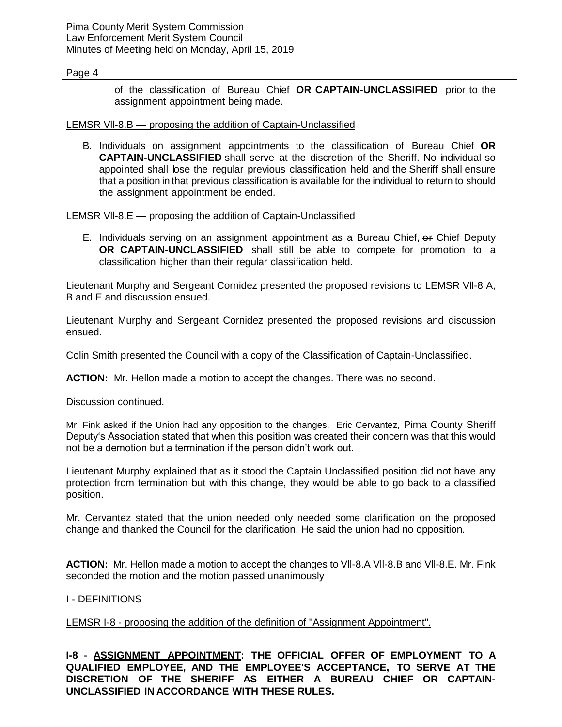Pima County Merit System Commission Law Enforcement Merit System Council Minutes of Meeting held on Monday, April 15, 2019

# Page 4

of the classification of Bureau Chief **OR CAPTAIN-UNCLASSIFIED** prior to the assignment appointment being made.

# LEMSR Vll-8.B — proposing the addition of Captain-Unclassified

B. Individuals on assignment appointments to the classification of Bureau Chief **OR CAPTAIN-UNCLASSIFIED** shall serve at the discretion of the Sheriff. No individual so appointed shall lose the regular previous classification held and the Sheriff shall ensure that a position in that previous classification is available for the individual to return to should the assignment appointment be ended.

# LEMSR Vll-8.E — proposing the addition of Captain-Unclassified

E. Individuals serving on an assignment appointment as a Bureau Chief, or Chief Deputy **OR CAPTAIN-UNCLASSIFIED** shall still be able to compete for promotion to a classification higher than their regular classification held.

Lieutenant Murphy and Sergeant Cornidez presented the proposed revisions to LEMSR Vll-8 A, B and E and discussion ensued.

Lieutenant Murphy and Sergeant Cornidez presented the proposed revisions and discussion ensued.

Colin Smith presented the Council with a copy of the Classification of Captain-Unclassified.

**ACTION:** Mr. Hellon made a motion to accept the changes. There was no second.

Discussion continued.

Mr. Fink asked if the Union had any opposition to the changes. Eric Cervantez, Pima County Sheriff Deputy's Association stated that when this position was created their concern was that this would not be a demotion but a termination if the person didn't work out.

Lieutenant Murphy explained that as it stood the Captain Unclassified position did not have any protection from termination but with this change, they would be able to go back to a classified position.

Mr. Cervantez stated that the union needed only needed some clarification on the proposed change and thanked the Council for the clarification. He said the union had no opposition.

**ACTION:** Mr. Hellon made a motion to accept the changes to Vll-8.A Vll-8.B and Vll-8.E. Mr. Fink seconded the motion and the motion passed unanimously

# I - DEFINITIONS

LEMSR I-8 - proposing the addition of the definition of "Assignment Appointment".

**I-8 - ASSIGNMENT APPOINTMENT: THE OFFICIAL OFFER OF EMPLOYMENT TO A QUALIFIED EMPLOYEE, AND THE EMPLOYEE'S ACCEPTANCE, TO SERVE AT THE DISCRETION OF THE SHERIFF AS EITHER A BUREAU CHIEF OR CAPTAIN-UNCLASSIFIED IN ACCORDANCE WITH THESE RULES.**